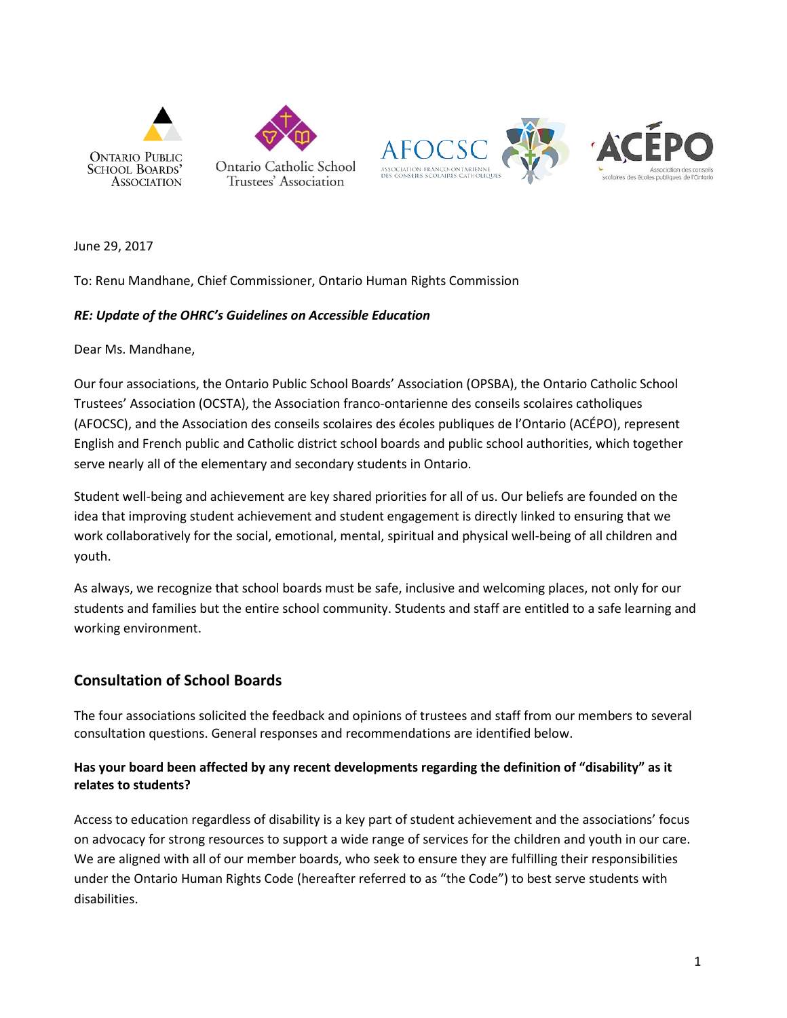

June 29, 2017

To: Renu Mandhane, Chief Commissioner, Ontario Human Rights Commission

#### *RE: Update of the OHRC's Guidelines on Accessible Education*

Dear Ms. Mandhane,

Our four associations, the Ontario Public School Boards' Association (OPSBA), the Ontario Catholic School Trustees' Association (OCSTA), the Association franco-ontarienne des conseils scolaires catholiques (AFOCSC), and the Association des conseils scolaires des écoles publiques de l'Ontario (ACÉPO), represent English and French public and Catholic district school boards and public school authorities, which together serve nearly all of the elementary and secondary students in Ontario.

Student well-being and achievement are key shared priorities for all of us. Our beliefs are founded on the idea that improving student achievement and student engagement is directly linked to ensuring that we work collaboratively for the social, emotional, mental, spiritual and physical well-being of all children and youth.

As always, we recognize that school boards must be safe, inclusive and welcoming places, not only for our students and families but the entire school community. Students and staff are entitled to a safe learning and working environment.

### **Consultation of School Boards**

The four associations solicited the feedback and opinions of trustees and staff from our members to several consultation questions. General responses and recommendations are identified below.

# **Has your board been affected by any recent developments regarding the definition of "disability" as it relates to students?**

Access to education regardless of disability is a key part of student achievement and the associations' focus on advocacy for strong resources to support a wide range of services for the children and youth in our care. We are aligned with all of our member boards, who seek to ensure they are fulfilling their responsibilities under the Ontario Human Rights Code (hereafter referred to as "the Code") to best serve students with disabilities.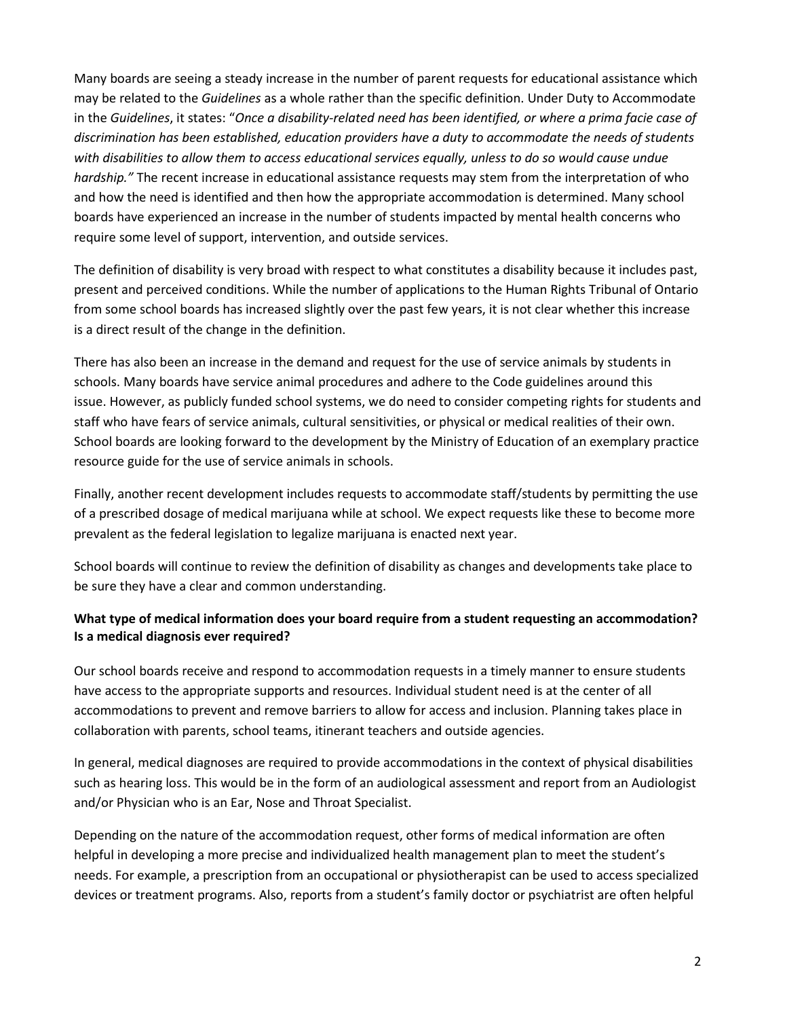Many boards are seeing a steady increase in the number of parent requests for educational assistance which may be related to the *Guidelines* as a whole rather than the specific definition. Under Duty to Accommodate in the *Guidelines*, it states: "*Once a disability-related need has been identified, or where a prima facie case of discrimination has been established, education providers have a duty to accommodate the needs of students with disabilities to allow them to access educational services equally, unless to do so would cause undue hardship."* The recent increase in educational assistance requests may stem from the interpretation of who and how the need is identified and then how the appropriate accommodation is determined. Many school boards have experienced an increase in the number of students impacted by mental health concerns who require some level of support, intervention, and outside services.

The definition of disability is very broad with respect to what constitutes a disability because it includes past, present and perceived conditions. While the number of applications to the Human Rights Tribunal of Ontario from some school boards has increased slightly over the past few years, it is not clear whether this increase is a direct result of the change in the definition.

There has also been an increase in the demand and request for the use of service animals by students in schools. Many boards have service animal procedures and adhere to the Code guidelines around this issue. However, as publicly funded school systems, we do need to consider competing rights for students and staff who have fears of service animals, cultural sensitivities, or physical or medical realities of their own. School boards are looking forward to the development by the Ministry of Education of an exemplary practice resource guide for the use of service animals in schools.

Finally, another recent development includes requests to accommodate staff/students by permitting the use of a prescribed dosage of medical marijuana while at school. We expect requests like these to become more prevalent as the federal legislation to legalize marijuana is enacted next year.

School boards will continue to review the definition of disability as changes and developments take place to be sure they have a clear and common understanding.

# **What type of medical information does your board require from a student requesting an accommodation? Is a medical diagnosis ever required?**

Our school boards receive and respond to accommodation requests in a timely manner to ensure students have access to the appropriate supports and resources. Individual student need is at the center of all accommodations to prevent and remove barriers to allow for access and inclusion. Planning takes place in collaboration with parents, school teams, itinerant teachers and outside agencies.

In general, medical diagnoses are required to provide accommodations in the context of physical disabilities such as hearing loss. This would be in the form of an audiological assessment and report from an Audiologist and/or Physician who is an Ear, Nose and Throat Specialist.

Depending on the nature of the accommodation request, other forms of medical information are often helpful in developing a more precise and individualized health management plan to meet the student's needs. For example, a prescription from an occupational or physiotherapist can be used to access specialized devices or treatment programs. Also, reports from a student's family doctor or psychiatrist are often helpful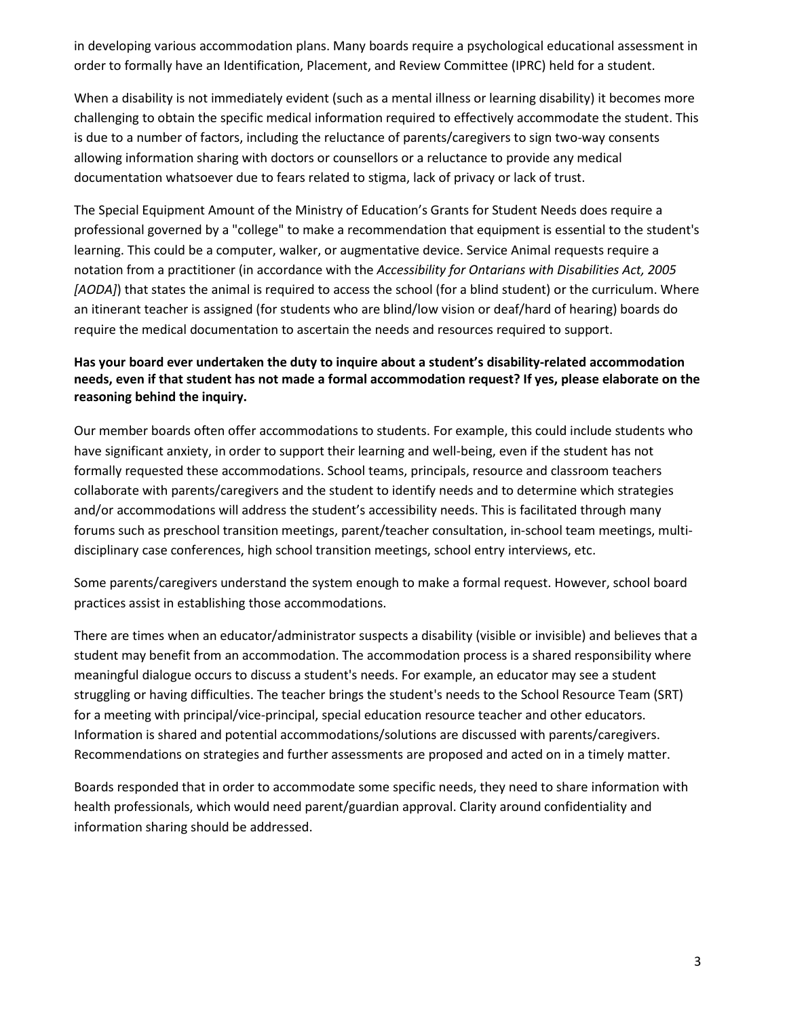in developing various accommodation plans. Many boards require a psychological educational assessment in order to formally have an Identification, Placement, and Review Committee (IPRC) held for a student.

When a disability is not immediately evident (such as a mental illness or learning disability) it becomes more challenging to obtain the specific medical information required to effectively accommodate the student. This is due to a number of factors, including the reluctance of parents/caregivers to sign two-way consents allowing information sharing with doctors or counsellors or a reluctance to provide any medical documentation whatsoever due to fears related to stigma, lack of privacy or lack of trust.

The Special Equipment Amount of the Ministry of Education's Grants for Student Needs does require a professional governed by a "college" to make a recommendation that equipment is essential to the student's learning. This could be a computer, walker, or augmentative device. Service Animal requests require a notation from a practitioner (in accordance with the *Accessibility for Ontarians with Disabilities Act, 2005* [AODA]) that states the animal is required to access the school (for a blind student) or the curriculum. Where an itinerant teacher is assigned (for students who are blind/low vision or deaf/hard of hearing) boards do require the medical documentation to ascertain the needs and resources required to support.

# **Has your board ever undertaken the duty to inquire about a student's disability-related accommodation needs, even if that student has not made a formal accommodation request? If yes, please elaborate on the reasoning behind the inquiry.**

Our member boards often offer accommodations to students. For example, this could include students who have significant anxiety, in order to support their learning and well-being, even if the student has not formally requested these accommodations. School teams, principals, resource and classroom teachers collaborate with parents/caregivers and the student to identify needs and to determine which strategies and/or accommodations will address the student's accessibility needs. This is facilitated through many forums such as preschool transition meetings, parent/teacher consultation, in-school team meetings, multidisciplinary case conferences, high school transition meetings, school entry interviews, etc.

Some parents/caregivers understand the system enough to make a formal request. However, school board practices assist in establishing those accommodations.

There are times when an educator/administrator suspects a disability (visible or invisible) and believes that a student may benefit from an accommodation. The accommodation process is a shared responsibility where meaningful dialogue occurs to discuss a student's needs. For example, an educator may see a student struggling or having difficulties. The teacher brings the student's needs to the School Resource Team (SRT) for a meeting with principal/vice-principal, special education resource teacher and other educators. Information is shared and potential accommodations/solutions are discussed with parents/caregivers. Recommendations on strategies and further assessments are proposed and acted on in a timely matter.

Boards responded that in order to accommodate some specific needs, they need to share information with health professionals, which would need parent/guardian approval. Clarity around confidentiality and information sharing should be addressed.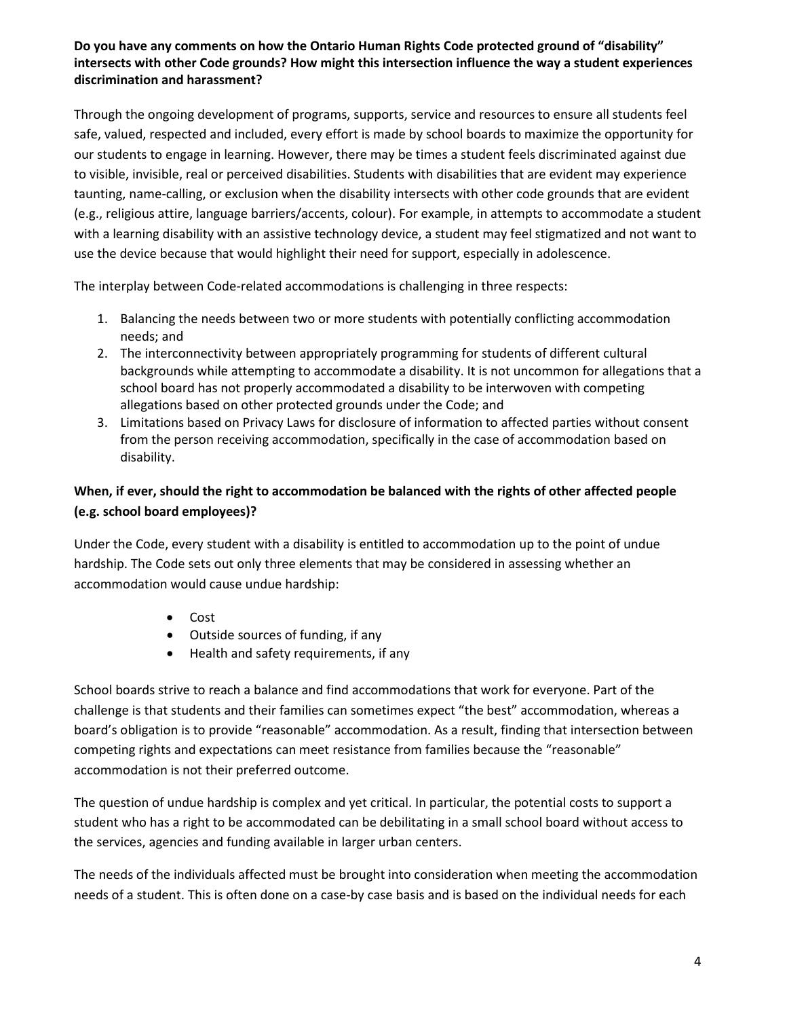### **Do you have any comments on how the Ontario Human Rights Code protected ground of "disability" intersects with other Code grounds? How might this intersection influence the way a student experiences discrimination and harassment?**

Through the ongoing development of programs, supports, service and resources to ensure all students feel safe, valued, respected and included, every effort is made by school boards to maximize the opportunity for our students to engage in learning. However, there may be times a student feels discriminated against due to visible, invisible, real or perceived disabilities. Students with disabilities that are evident may experience taunting, name-calling, or exclusion when the disability intersects with other code grounds that are evident (e.g., religious attire, language barriers/accents, colour). For example, in attempts to accommodate a student with a learning disability with an assistive technology device, a student may feel stigmatized and not want to use the device because that would highlight their need for support, especially in adolescence.

The interplay between Code-related accommodations is challenging in three respects:

- 1. Balancing the needs between two or more students with potentially conflicting accommodation needs; and
- 2. The interconnectivity between appropriately programming for students of different cultural backgrounds while attempting to accommodate a disability. It is not uncommon for allegations that a school board has not properly accommodated a disability to be interwoven with competing allegations based on other protected grounds under the Code; and
- 3. Limitations based on Privacy Laws for disclosure of information to affected parties without consent from the person receiving accommodation, specifically in the case of accommodation based on disability.

# **When, if ever, should the right to accommodation be balanced with the rights of other affected people (e.g. school board employees)?**

Under the Code, every student with a disability is entitled to accommodation up to the point of undue hardship. The Code sets out only three elements that may be considered in assessing whether an accommodation would cause undue hardship:

- Cost
- Outside sources of funding, if any
- Health and safety requirements, if any

School boards strive to reach a balance and find accommodations that work for everyone. Part of the challenge is that students and their families can sometimes expect "the best" accommodation, whereas a board's obligation is to provide "reasonable" accommodation. As a result, finding that intersection between competing rights and expectations can meet resistance from families because the "reasonable" accommodation is not their preferred outcome.

The question of undue hardship is complex and yet critical. In particular, the potential costs to support a student who has a right to be accommodated can be debilitating in a small school board without access to the services, agencies and funding available in larger urban centers.

The needs of the individuals affected must be brought into consideration when meeting the accommodation needs of a student. This is often done on a case-by case basis and is based on the individual needs for each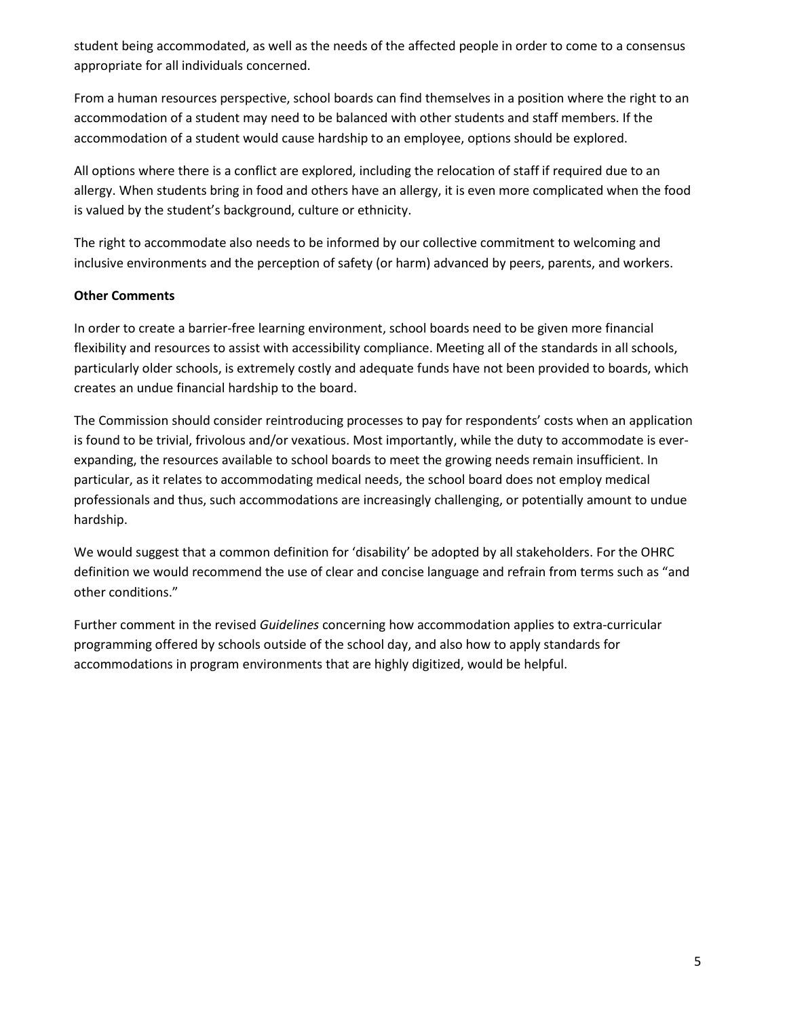student being accommodated, as well as the needs of the affected people in order to come to a consensus appropriate for all individuals concerned.

From a human resources perspective, school boards can find themselves in a position where the right to an accommodation of a student may need to be balanced with other students and staff members. If the accommodation of a student would cause hardship to an employee, options should be explored.

All options where there is a conflict are explored, including the relocation of staff if required due to an allergy. When students bring in food and others have an allergy, it is even more complicated when the food is valued by the student's background, culture or ethnicity.

The right to accommodate also needs to be informed by our collective commitment to welcoming and inclusive environments and the perception of safety (or harm) advanced by peers, parents, and workers.

### **Other Comments**

In order to create a barrier-free learning environment, school boards need to be given more financial flexibility and resources to assist with accessibility compliance. Meeting all of the standards in all schools, particularly older schools, is extremely costly and adequate funds have not been provided to boards, which creates an undue financial hardship to the board.

The Commission should consider reintroducing processes to pay for respondents' costs when an application is found to be trivial, frivolous and/or vexatious. Most importantly, while the duty to accommodate is everexpanding, the resources available to school boards to meet the growing needs remain insufficient. In particular, as it relates to accommodating medical needs, the school board does not employ medical professionals and thus, such accommodations are increasingly challenging, or potentially amount to undue hardship.

We would suggest that a common definition for 'disability' be adopted by all stakeholders. For the OHRC definition we would recommend the use of clear and concise language and refrain from terms such as "and other conditions."

Further comment in the revised *Guidelines* concerning how accommodation applies to extra-curricular programming offered by schools outside of the school day, and also how to apply standards for accommodations in program environments that are highly digitized, would be helpful.